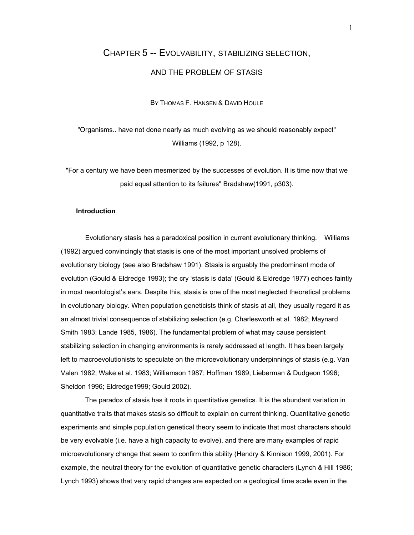# CHAPTER 5 -- EVOLVABILITY, STABILIZING SELECTION,

## AND THE PROBLEM OF STASIS

BY THOMAS F. HANSEN & DAVID HOULE

"Organisms.. have not done nearly as much evolving as we should reasonably expect" Williams (1992, p 128).

"For a century we have been mesmerized by the successes of evolution. It is time now that we paid equal attention to its failures" Bradshaw(1991, p303).

#### **Introduction**

Evolutionary stasis has a paradoxical position in current evolutionary thinking. Williams (1992) argued convincingly that stasis is one of the most important unsolved problems of evolutionary biology (see also Bradshaw 1991). Stasis is arguably the predominant mode of evolution (Gould & Eldredge 1993); the cry 'stasis is data' (Gould & Eldredge 1977) echoes faintly in most neontologist's ears. Despite this, stasis is one of the most neglected theoretical problems in evolutionary biology. When population geneticists think of stasis at all, they usually regard it as an almost trivial consequence of stabilizing selection (e.g. Charlesworth et al. 1982; Maynard Smith 1983; Lande 1985, 1986). The fundamental problem of what may cause persistent stabilizing selection in changing environments is rarely addressed at length. It has been largely left to macroevolutionists to speculate on the microevolutionary underpinnings of stasis (e.g. Van Valen 1982; Wake et al. 1983; Williamson 1987; Hoffman 1989; Lieberman & Dudgeon 1996; Sheldon 1996; Eldredge1999; Gould 2002).

The paradox of stasis has it roots in quantitative genetics. It is the abundant variation in quantitative traits that makes stasis so difficult to explain on current thinking. Quantitative genetic experiments and simple population genetical theory seem to indicate that most characters should be very evolvable (i.e. have a high capacity to evolve), and there are many examples of rapid microevolutionary change that seem to confirm this ability (Hendry & Kinnison 1999, 2001). For example, the neutral theory for the evolution of quantitative genetic characters (Lynch & Hill 1986; Lynch 1993) shows that very rapid changes are expected on a geological time scale even in the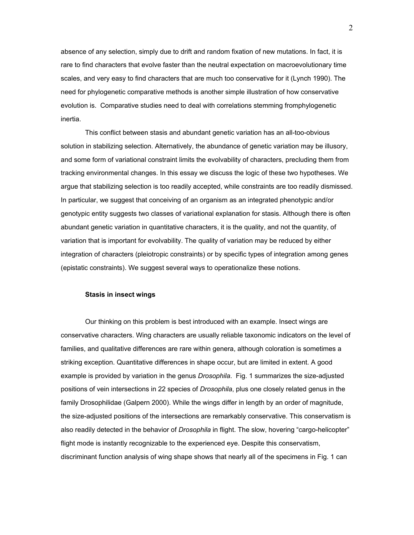absence of any selection, simply due to drift and random fixation of new mutations. In fact, it is rare to find characters that evolve faster than the neutral expectation on macroevolutionary time scales, and very easy to find characters that are much too conservative for it (Lynch 1990). The need for phylogenetic comparative methods is another simple illustration of how conservative evolution is. Comparative studies need to deal with correlations stemming fromphylogenetic inertia.

 This conflict between stasis and abundant genetic variation has an all-too-obvious solution in stabilizing selection. Alternatively, the abundance of genetic variation may be illusory, and some form of variational constraint limits the evolvability of characters, precluding them from tracking environmental changes. In this essay we discuss the logic of these two hypotheses. We argue that stabilizing selection is too readily accepted, while constraints are too readily dismissed. In particular, we suggest that conceiving of an organism as an integrated phenotypic and/or genotypic entity suggests two classes of variational explanation for stasis. Although there is often abundant genetic variation in quantitative characters, it is the quality, and not the quantity, of variation that is important for evolvability. The quality of variation may be reduced by either integration of characters (pleiotropic constraints) or by specific types of integration among genes (epistatic constraints). We suggest several ways to operationalize these notions.

#### **Stasis in insect wings**

Our thinking on this problem is best introduced with an example. Insect wings are conservative characters. Wing characters are usually reliable taxonomic indicators on the level of families, and qualitative differences are rare within genera, although coloration is sometimes a striking exception. Quantitative differences in shape occur, but are limited in extent. A good example is provided by variation in the genus *Drosophila*. Fig. 1 summarizes the size-adjusted positions of vein intersections in 22 species of *Drosophila*, plus one closely related genus in the family Drosophilidae (Galpern 2000). While the wings differ in length by an order of magnitude, the size-adjusted positions of the intersections are remarkably conservative. This conservatism is also readily detected in the behavior of *Drosophila* in flight. The slow, hovering "cargo-helicopter" flight mode is instantly recognizable to the experienced eye. Despite this conservatism, discriminant function analysis of wing shape shows that nearly all of the specimens in Fig. 1 can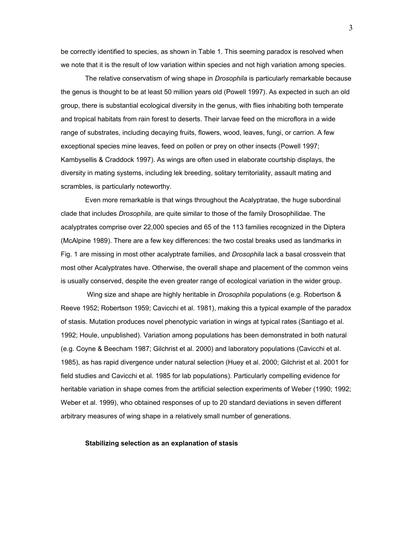be correctly identified to species, as shown in Table 1. This seeming paradox is resolved when we note that it is the result of low variation within species and not high variation among species.

The relative conservatism of wing shape in *Drosophila* is particularly remarkable because the genus is thought to be at least 50 million years old (Powell 1997). As expected in such an old group, there is substantial ecological diversity in the genus, with flies inhabiting both temperate and tropical habitats from rain forest to deserts. Their larvae feed on the microflora in a wide range of substrates, including decaying fruits, flowers, wood, leaves, fungi, or carrion. A few exceptional species mine leaves, feed on pollen or prey on other insects (Powell 1997; Kambysellis & Craddock 1997). As wings are often used in elaborate courtship displays, the diversity in mating systems, including lek breeding, solitary territoriality, assault mating and scrambles, is particularly noteworthy.

Even more remarkable is that wings throughout the Acalyptratae, the huge subordinal clade that includes *Drosophila*, are quite similar to those of the family Drosophilidae. The acalyptrates comprise over 22,000 species and 65 of the 113 families recognized in the Diptera (McAlpine 1989). There are a few key differences: the two costal breaks used as landmarks in Fig. 1 are missing in most other acalyptrate families, and *Drosophila* lack a basal crossvein that most other Acalyptrates have. Otherwise, the overall shape and placement of the common veins is usually conserved, despite the even greater range of ecological variation in the wider group.

 Wing size and shape are highly heritable in *Drosophila* populations (e.g. Robertson & Reeve 1952; Robertson 1959; Cavicchi et al. 1981), making this a typical example of the paradox of stasis. Mutation produces novel phenotypic variation in wings at typical rates (Santiago et al. 1992; Houle, unpublished). Variation among populations has been demonstrated in both natural (e.g. Coyne & Beecham 1987; Gilchrist et al. 2000) and laboratory populations (Cavicchi et al. 1985), as has rapid divergence under natural selection (Huey et al. 2000; Gilchrist et al. 2001 for field studies and Cavicchi et al. 1985 for lab populations). Particularly compelling evidence for heritable variation in shape comes from the artificial selection experiments of Weber (1990; 1992; Weber et al. 1999), who obtained responses of up to 20 standard deviations in seven different arbitrary measures of wing shape in a relatively small number of generations.

**Stabilizing selection as an explanation of stasis**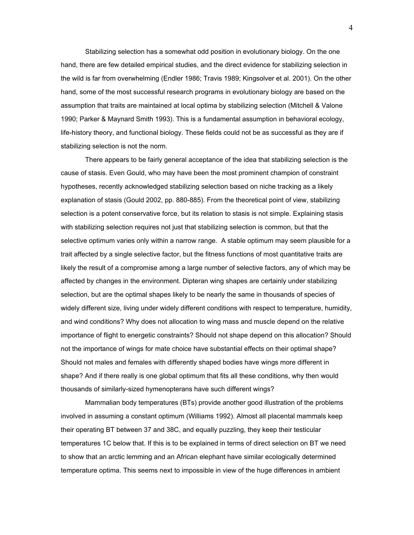Stabilizing selection has a somewhat odd position in evolutionary biology. On the one hand, there are few detailed empirical studies, and the direct evidence for stabilizing selection in the wild is far from overwhelming (Endler 1986; Travis 1989; Kingsolver et al. 2001). On the other hand, some of the most successful research programs in evolutionary biology are based on the assumption that traits are maintained at local optima by stabilizing selection (Mitchell & Valone 1990; Parker & Maynard Smith 1993). This is a fundamental assumption in behavioral ecology, life-history theory, and functional biology. These fields could not be as successful as they are if stabilizing selection is not the norm.

There appears to be fairly general acceptance of the idea that stabilizing selection is the cause of stasis. Even Gould, who may have been the most prominent champion of constraint hypotheses, recently acknowledged stabilizing selection based on niche tracking as a likely explanation of stasis (Gould 2002, pp. 880-885). From the theoretical point of view, stabilizing selection is a potent conservative force, but its relation to stasis is not simple. Explaining stasis with stabilizing selection requires not just that stabilizing selection is common, but that the selective optimum varies only within a narrow range. A stable optimum may seem plausible for a trait affected by a single selective factor, but the fitness functions of most quantitative traits are likely the result of a compromise among a large number of selective factors, any of which may be affected by changes in the environment. Dipteran wing shapes are certainly under stabilizing selection, but are the optimal shapes likely to be nearly the same in thousands of species of widely different size, living under widely different conditions with respect to temperature, humidity, and wind conditions? Why does not allocation to wing mass and muscle depend on the relative importance of flight to energetic constraints? Should not shape depend on this allocation? Should not the importance of wings for mate choice have substantial effects on their optimal shape? Should not males and females with differently shaped bodies have wings more different in shape? And if there really is one global optimum that fits all these conditions, why then would thousands of similarly-sized hymenopterans have such different wings?

Mammalian body temperatures (BTs) provide another good illustration of the problems involved in assuming a constant optimum (Williams 1992). Almost all placental mammals keep their operating BT between 37 and 38C, and equally puzzling, they keep their testicular temperatures 1C below that. If this is to be explained in terms of direct selection on BT we need to show that an arctic lemming and an African elephant have similar ecologically determined temperature optima. This seems next to impossible in view of the huge differences in ambient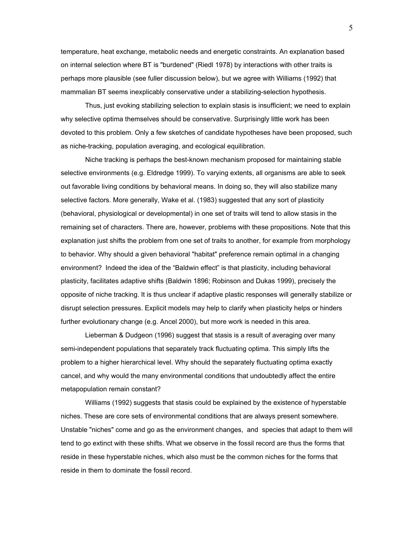temperature, heat exchange, metabolic needs and energetic constraints. An explanation based on internal selection where BT is "burdened" (Riedl 1978) by interactions with other traits is perhaps more plausible (see fuller discussion below), but we agree with Williams (1992) that mammalian BT seems inexplicably conservative under a stabilizing-selection hypothesis.

 Thus, just evoking stabilizing selection to explain stasis is insufficient; we need to explain why selective optima themselves should be conservative. Surprisingly little work has been devoted to this problem. Only a few sketches of candidate hypotheses have been proposed, such as niche-tracking, population averaging, and ecological equilibration.

Niche tracking is perhaps the best-known mechanism proposed for maintaining stable selective environments (e.g. Eldredge 1999). To varying extents, all organisms are able to seek out favorable living conditions by behavioral means. In doing so, they will also stabilize many selective factors. More generally, Wake et al. (1983) suggested that any sort of plasticity (behavioral, physiological or developmental) in one set of traits will tend to allow stasis in the remaining set of characters. There are, however, problems with these propositions. Note that this explanation just shifts the problem from one set of traits to another, for example from morphology to behavior. Why should a given behavioral "habitat" preference remain optimal in a changing environment? Indeed the idea of the "Baldwin effect" is that plasticity, including behavioral plasticity, facilitates adaptive shifts (Baldwin 1896; Robinson and Dukas 1999), precisely the opposite of niche tracking. It is thus unclear if adaptive plastic responses will generally stabilize or disrupt selection pressures. Explicit models may help to clarify when plasticity helps or hinders further evolutionary change (e.g. Ancel 2000), but more work is needed in this area.

Lieberman & Dudgeon (1996) suggest that stasis is a result of averaging over many semi-independent populations that separately track fluctuating optima. This simply lifts the problem to a higher hierarchical level. Why should the separately fluctuating optima exactly cancel, and why would the many environmental conditions that undoubtedly affect the entire metapopulation remain constant?

 Williams (1992) suggests that stasis could be explained by the existence of hyperstable niches. These are core sets of environmental conditions that are always present somewhere. Unstable "niches" come and go as the environment changes, and species that adapt to them will tend to go extinct with these shifts. What we observe in the fossil record are thus the forms that reside in these hyperstable niches, which also must be the common niches for the forms that reside in them to dominate the fossil record.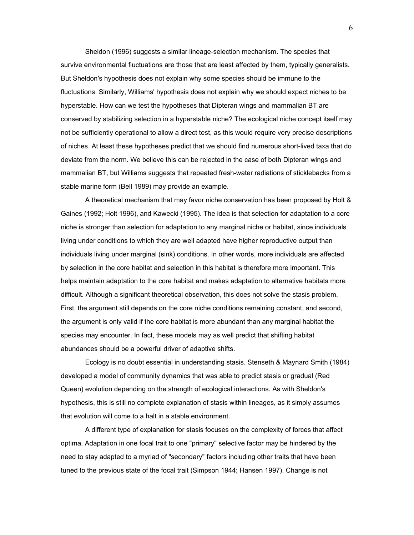Sheldon (1996) suggests a similar lineage-selection mechanism. The species that survive environmental fluctuations are those that are least affected by them, typically generalists. But Sheldon's hypothesis does not explain why some species should be immune to the fluctuations. Similarly, Williams' hypothesis does not explain why we should expect niches to be hyperstable. How can we test the hypotheses that Dipteran wings and mammalian BT are conserved by stabilizing selection in a hyperstable niche? The ecological niche concept itself may not be sufficiently operational to allow a direct test, as this would require very precise descriptions of niches. At least these hypotheses predict that we should find numerous short-lived taxa that do deviate from the norm. We believe this can be rejected in the case of both Dipteran wings and mammalian BT, but Williams suggests that repeated fresh-water radiations of sticklebacks from a stable marine form (Bell 1989) may provide an example.

A theoretical mechanism that may favor niche conservation has been proposed by Holt & Gaines (1992; Holt 1996), and Kawecki (1995). The idea is that selection for adaptation to a core niche is stronger than selection for adaptation to any marginal niche or habitat, since individuals living under conditions to which they are well adapted have higher reproductive output than individuals living under marginal (sink) conditions. In other words, more individuals are affected by selection in the core habitat and selection in this habitat is therefore more important. This helps maintain adaptation to the core habitat and makes adaptation to alternative habitats more difficult. Although a significant theoretical observation, this does not solve the stasis problem. First, the argument still depends on the core niche conditions remaining constant, and second, the argument is only valid if the core habitat is more abundant than any marginal habitat the species may encounter. In fact, these models may as well predict that shifting habitat abundances should be a powerful driver of adaptive shifts.

Ecology is no doubt essential in understanding stasis. Stenseth & Maynard Smith (1984) developed a model of community dynamics that was able to predict stasis or gradual (Red Queen) evolution depending on the strength of ecological interactions. As with Sheldon's hypothesis, this is still no complete explanation of stasis within lineages, as it simply assumes that evolution will come to a halt in a stable environment.

A different type of explanation for stasis focuses on the complexity of forces that affect optima. Adaptation in one focal trait to one "primary" selective factor may be hindered by the need to stay adapted to a myriad of "secondary" factors including other traits that have been tuned to the previous state of the focal trait (Simpson 1944; Hansen 1997). Change is not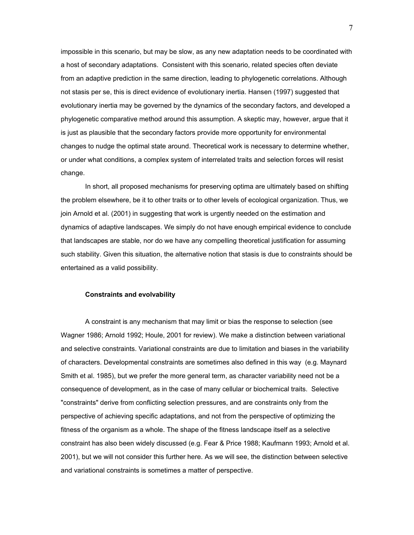impossible in this scenario, but may be slow, as any new adaptation needs to be coordinated with a host of secondary adaptations. Consistent with this scenario, related species often deviate from an adaptive prediction in the same direction, leading to phylogenetic correlations. Although not stasis per se, this is direct evidence of evolutionary inertia. Hansen (1997) suggested that evolutionary inertia may be governed by the dynamics of the secondary factors, and developed a phylogenetic comparative method around this assumption. A skeptic may, however, argue that it is just as plausible that the secondary factors provide more opportunity for environmental changes to nudge the optimal state around. Theoretical work is necessary to determine whether, or under what conditions, a complex system of interrelated traits and selection forces will resist change.

In short, all proposed mechanisms for preserving optima are ultimately based on shifting the problem elsewhere, be it to other traits or to other levels of ecological organization. Thus, we join Arnold et al. (2001) in suggesting that work is urgently needed on the estimation and dynamics of adaptive landscapes. We simply do not have enough empirical evidence to conclude that landscapes are stable, nor do we have any compelling theoretical justification for assuming such stability. Given this situation, the alternative notion that stasis is due to constraints should be entertained as a valid possibility.

### **Constraints and evolvability**

A constraint is any mechanism that may limit or bias the response to selection (see Wagner 1986; Arnold 1992; Houle, 2001 for review). We make a distinction between variational and selective constraints. Variational constraints are due to limitation and biases in the variability of characters. Developmental constraints are sometimes also defined in this way (e.g. Maynard Smith et al. 1985), but we prefer the more general term, as character variability need not be a consequence of development, as in the case of many cellular or biochemical traits. Selective "constraints" derive from conflicting selection pressures, and are constraints only from the perspective of achieving specific adaptations, and not from the perspective of optimizing the fitness of the organism as a whole. The shape of the fitness landscape itself as a selective constraint has also been widely discussed (e.g. Fear & Price 1988; Kaufmann 1993; Arnold et al. 2001), but we will not consider this further here. As we will see, the distinction between selective and variational constraints is sometimes a matter of perspective.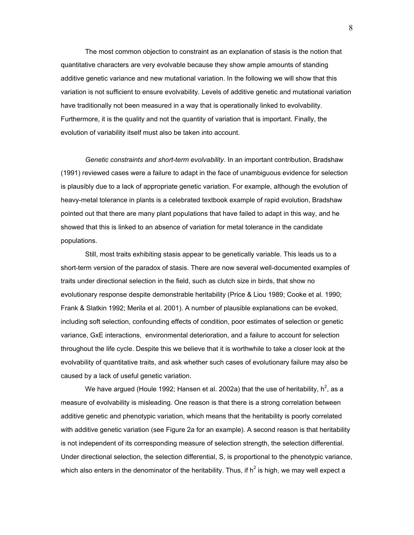The most common objection to constraint as an explanation of stasis is the notion that quantitative characters are very evolvable because they show ample amounts of standing additive genetic variance and new mutational variation. In the following we will show that this variation is not sufficient to ensure evolvability. Levels of additive genetic and mutational variation have traditionally not been measured in a way that is operationally linked to evolvability. Furthermore, it is the quality and not the quantity of variation that is important. Finally, the evolution of variability itself must also be taken into account.

*Genetic constraints and short-term evolvability.* In an important contribution, Bradshaw (1991) reviewed cases were a failure to adapt in the face of unambiguous evidence for selection is plausibly due to a lack of appropriate genetic variation. For example, although the evolution of heavy-metal tolerance in plants is a celebrated textbook example of rapid evolution, Bradshaw pointed out that there are many plant populations that have failed to adapt in this way, and he showed that this is linked to an absence of variation for metal tolerance in the candidate populations.

Still, most traits exhibiting stasis appear to be genetically variable. This leads us to a short-term version of the paradox of stasis. There are now several well-documented examples of traits under directional selection in the field, such as clutch size in birds, that show no evolutionary response despite demonstrable heritability (Price & Liou 1989; Cooke et al. 1990; Frank & Slatkin 1992; Merila et al. 2001). A number of plausible explanations can be evoked, including soft selection, confounding effects of condition, poor estimates of selection or genetic variance, GxE interactions, environmental deterioration, and a failure to account for selection throughout the life cycle. Despite this we believe that it is worthwhile to take a closer look at the evolvability of quantitative traits, and ask whether such cases of evolutionary failure may also be caused by a lack of useful genetic variation.

We have argued (Houle 1992; Hansen et al. 2002a) that the use of heritability, h<sup>2</sup>, as a measure of evolvability is misleading. One reason is that there is a strong correlation between additive genetic and phenotypic variation, which means that the heritability is poorly correlated with additive genetic variation (see Figure 2a for an example). A second reason is that heritability is not independent of its corresponding measure of selection strength, the selection differential. Under directional selection, the selection differential, S, is proportional to the phenotypic variance, which also enters in the denominator of the heritability. Thus, if  $h^2$  is high, we may well expect a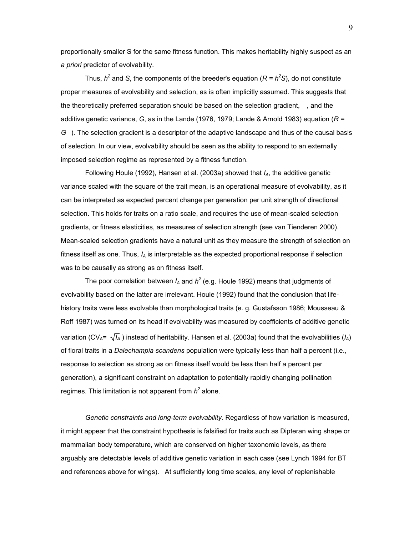proportionally smaller S for the same fitness function. This makes heritability highly suspect as an *a priori* predictor of evolvability.

Thus,  $h^2$  and *S*, the components of the breeder's equation ( $R = h^2S$ ), do not constitute proper measures of evolvability and selection, as is often implicitly assumed. This suggests that the theoretically preferred separation should be based on the selection gradient, , and the additive genetic variance, *G*, as in the Lande (1976, 1979; Lande & Arnold 1983) equation (*R = G*). The selection gradient is a descriptor of the adaptive landscape and thus of the causal basis of selection. In our view, evolvability should be seen as the ability to respond to an externally imposed selection regime as represented by a fitness function.

Following Houle (1992), Hansen et al. (2003a) showed that *IA*, the additive genetic variance scaled with the square of the trait mean, is an operational measure of evolvability, as it can be interpreted as expected percent change per generation per unit strength of directional selection. This holds for traits on a ratio scale, and requires the use of mean-scaled selection gradients, or fitness elasticities, as measures of selection strength (see van Tienderen 2000). Mean-scaled selection gradients have a natural unit as they measure the strength of selection on fitness itself as one. Thus, *IA* is interpretable as the expected proportional response if selection was to be causally as strong as on fitness itself.

The poor correlation between *I<sub>A</sub>* and *h*<sup>2</sup> (e.g. Houle 1992) means that judgments of evolvability based on the latter are irrelevant. Houle (1992) found that the conclusion that lifehistory traits were less evolvable than morphological traits (e. g. Gustafsson 1986; Mousseau & Roff 1987) was turned on its head if evolvability was measured by coefficients of additive genetic variation (CV<sub>A</sub>=  $\sqrt{I_A}$ ) instead of heritability. Hansen et al. (2003a) found that the evolvabilities ( $I_A$ ) of floral traits in a *Dalechampia scandens* population were typically less than half a percent (i.e., response to selection as strong as on fitness itself would be less than half a percent per generation), a significant constraint on adaptation to potentially rapidly changing pollination regimes. This limitation is not apparent from *h<sup>2</sup>* alone.

*Genetic constraints and long-term evolvability.* Regardless of how variation is measured, it might appear that the constraint hypothesis is falsified for traits such as Dipteran wing shape or mammalian body temperature, which are conserved on higher taxonomic levels, as there arguably are detectable levels of additive genetic variation in each case (see Lynch 1994 for BT and references above for wings). At sufficiently long time scales, any level of replenishable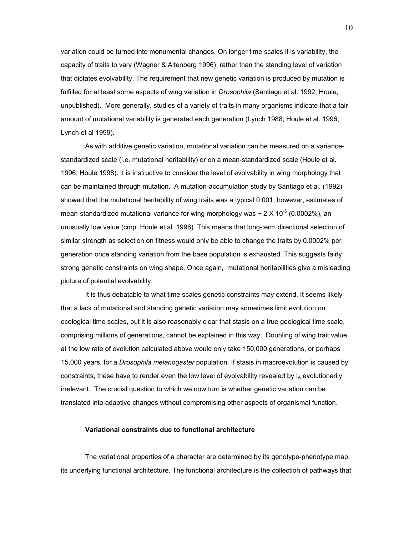variation could be turned into monumental changes. On longer time scales it is variability, the capacity of traits to vary (Wagner & Altenberg 1996), rather than the standing level of variation that dictates evolvability. The requirement that new genetic variation is produced by mutation is fulfilled for at least some aspects of wing variation in *Drosophila* (Santiago et al. 1992; Houle, unpublished). More generally, studies of a variety of traits in many organisms indicate that a fair amount of mutational variability is generated each generation (Lynch 1988; Houle et al. 1996; Lynch et al 1999).

As with additive genetic variation, mutational variation can be measured on a variancestandardized scale (i.e. mutational heritability) or on a mean-standardized scale (Houle et al. 1996; Houle 1998). It is instructive to consider the level of evolvability in wing morphology that can be maintained through mutation. A mutation-accumulation study by Santiago et al. (1992) showed that the mutational heritability of wing traits was a typical 0.001; however, estimates of mean-standardized mutational variance for wing morphology was  $\sim$  2 X 10<sup>-6</sup> (0.0002%), an unusually low value (cmp. Houle et al. 1996). This means that long-term directional selection of similar strength as selection on fitness would only be able to change the traits by 0.0002% per generation once standing variation from the base population is exhausted. This suggests fairly strong genetic constraints on wing shape. Once again, mutational heritabilities give a misleading picture of potential evolvability.

It is thus debatable to what time scales genetic constraints may extend. It seems likely that a lack of mutational and standing genetic variation may sometimes limit evolution on ecological time scales, but it is also reasonably clear that stasis on a true geological time scale, comprising millions of generations, cannot be explained in this way. Doubling of wing trait value at the low rate of evolution calculated above would only take 150,000 generations, or perhaps 15,000 years, for a *Drosophila melanogaster* population. If stasis in macroevolution is caused by constraints, these have to render even the low level of evolvability revealed by  $I_A$  evolutionarily irrelevant. The crucial question to which we now turn is whether genetic variation can be translated into adaptive changes without compromising other aspects of organismal function.

#### **Variational constraints due to functional architecture**

The variational properties of a character are determined by its genotype-phenotype map; its underlying functional architecture. The functional architecture is the collection of pathways that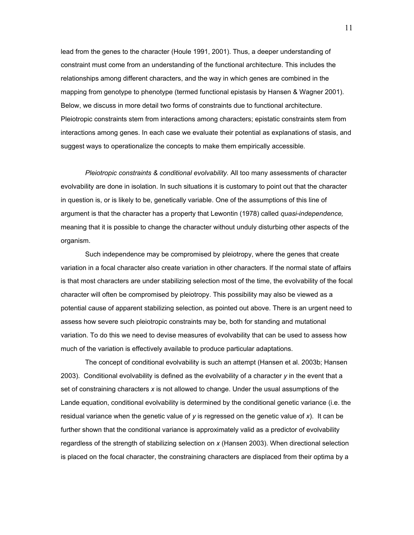lead from the genes to the character (Houle 1991, 2001). Thus, a deeper understanding of constraint must come from an understanding of the functional architecture. This includes the relationships among different characters, and the way in which genes are combined in the mapping from genotype to phenotype (termed functional epistasis by Hansen & Wagner 2001). Below, we discuss in more detail two forms of constraints due to functional architecture. Pleiotropic constraints stem from interactions among characters; epistatic constraints stem from interactions among genes. In each case we evaluate their potential as explanations of stasis, and suggest ways to operationalize the concepts to make them empirically accessible.

*Pleiotropic constraints & conditional evolvability.* All too many assessments of character evolvability are done in isolation. In such situations it is customary to point out that the character in question is, or is likely to be, genetically variable. One of the assumptions of this line of argument is that the character has a property that Lewontin (1978) called *quasi-independence,*  meaning that it is possible to change the character without unduly disturbing other aspects of the organism.

Such independence may be compromised by pleiotropy, where the genes that create variation in a focal character also create variation in other characters. If the normal state of affairs is that most characters are under stabilizing selection most of the time, the evolvability of the focal character will often be compromised by pleiotropy. This possibility may also be viewed as a potential cause of apparent stabilizing selection, as pointed out above. There is an urgent need to assess how severe such pleiotropic constraints may be, both for standing and mutational variation. To do this we need to devise measures of evolvability that can be used to assess how much of the variation is effectively available to produce particular adaptations.

 The concept of conditional evolvability is such an attempt (Hansen et al. 2003b; Hansen 2003). Conditional evolvability is defined as the evolvability of a character *y* in the event that a set of constraining characters *x* is not allowed to change. Under the usual assumptions of the Lande equation, conditional evolvability is determined by the conditional genetic variance (i.e. the residual variance when the genetic value of *y* is regressed on the genetic value of *x*). It can be further shown that the conditional variance is approximately valid as a predictor of evolvability regardless of the strength of stabilizing selection on *x* (Hansen 2003). When directional selection is placed on the focal character, the constraining characters are displaced from their optima by a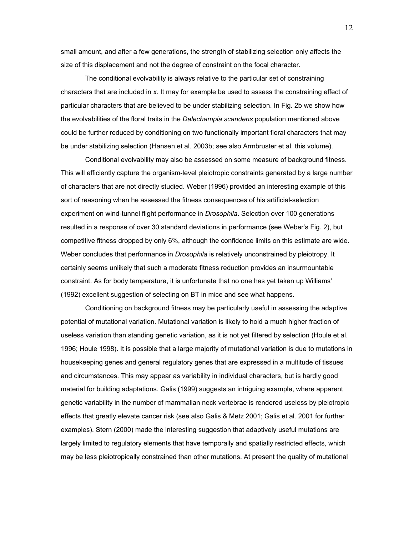small amount, and after a few generations, the strength of stabilizing selection only affects the size of this displacement and not the degree of constraint on the focal character.

 The conditional evolvability is always relative to the particular set of constraining characters that are included in *x*. It may for example be used to assess the constraining effect of particular characters that are believed to be under stabilizing selection. In Fig. 2b we show how the evolvabilities of the floral traits in the *Dalechampia scandens* population mentioned above could be further reduced by conditioning on two functionally important floral characters that may be under stabilizing selection (Hansen et al. 2003b; see also Armbruster et al. this volume).

Conditional evolvability may also be assessed on some measure of background fitness. This will efficiently capture the organism-level pleiotropic constraints generated by a large number of characters that are not directly studied. Weber (1996) provided an interesting example of this sort of reasoning when he assessed the fitness consequences of his artificial-selection experiment on wind-tunnel flight performance in *Drosophila*. Selection over 100 generations resulted in a response of over 30 standard deviations in performance (see Weber's Fig. 2), but competitive fitness dropped by only 6%, although the confidence limits on this estimate are wide. Weber concludes that performance in *Drosophila* is relatively unconstrained by pleiotropy. It certainly seems unlikely that such a moderate fitness reduction provides an insurmountable constraint. As for body temperature, it is unfortunate that no one has yet taken up Williams' (1992) excellent suggestion of selecting on BT in mice and see what happens.

 Conditioning on background fitness may be particularly useful in assessing the adaptive potential of mutational variation. Mutational variation is likely to hold a much higher fraction of useless variation than standing genetic variation, as it is not yet filtered by selection (Houle et al. 1996; Houle 1998). It is possible that a large majority of mutational variation is due to mutations in housekeeping genes and general regulatory genes that are expressed in a multitude of tissues and circumstances. This may appear as variability in individual characters, but is hardly good material for building adaptations. Galis (1999) suggests an intriguing example, where apparent genetic variability in the number of mammalian neck vertebrae is rendered useless by pleiotropic effects that greatly elevate cancer risk (see also Galis & Metz 2001; Galis et al. 2001 for further examples). Stern (2000) made the interesting suggestion that adaptively useful mutations are largely limited to regulatory elements that have temporally and spatially restricted effects, which may be less pleiotropically constrained than other mutations. At present the quality of mutational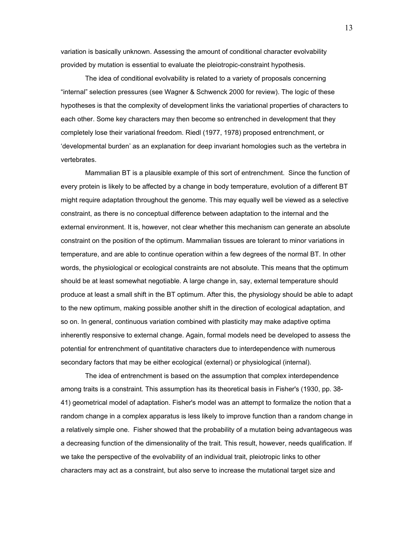variation is basically unknown. Assessing the amount of conditional character evolvability provided by mutation is essential to evaluate the pleiotropic-constraint hypothesis.

The idea of conditional evolvability is related to a variety of proposals concerning "internal" selection pressures (see Wagner & Schwenck 2000 for review). The logic of these hypotheses is that the complexity of development links the variational properties of characters to each other. Some key characters may then become so entrenched in development that they completely lose their variational freedom. Riedl (1977, 1978) proposed entrenchment, or 'developmental burden' as an explanation for deep invariant homologies such as the vertebra in vertebrates.

Mammalian BT is a plausible example of this sort of entrenchment. Since the function of every protein is likely to be affected by a change in body temperature, evolution of a different BT might require adaptation throughout the genome. This may equally well be viewed as a selective constraint, as there is no conceptual difference between adaptation to the internal and the external environment. It is, however, not clear whether this mechanism can generate an absolute constraint on the position of the optimum. Mammalian tissues are tolerant to minor variations in temperature, and are able to continue operation within a few degrees of the normal BT. In other words, the physiological or ecological constraints are not absolute. This means that the optimum should be at least somewhat negotiable. A large change in, say, external temperature should produce at least a small shift in the BT optimum. After this, the physiology should be able to adapt to the new optimum, making possible another shift in the direction of ecological adaptation, and so on. In general, continuous variation combined with plasticity may make adaptive optima inherently responsive to external change. Again, formal models need be developed to assess the potential for entrenchment of quantitative characters due to interdependence with numerous secondary factors that may be either ecological (external) or physiological (internal).

The idea of entrenchment is based on the assumption that complex interdependence among traits is a constraint. This assumption has its theoretical basis in Fisher's (1930, pp. 38- 41) geometrical model of adaptation. Fisher's model was an attempt to formalize the notion that a random change in a complex apparatus is less likely to improve function than a random change in a relatively simple one. Fisher showed that the probability of a mutation being advantageous was a decreasing function of the dimensionality of the trait. This result, however, needs qualification. If we take the perspective of the evolvability of an individual trait, pleiotropic links to other characters may act as a constraint, but also serve to increase the mutational target size and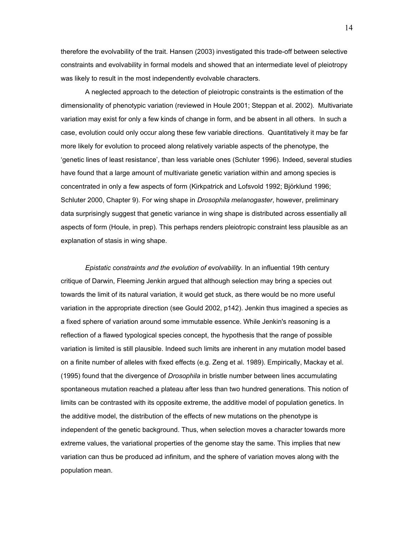therefore the evolvability of the trait. Hansen (2003) investigated this trade-off between selective constraints and evolvability in formal models and showed that an intermediate level of pleiotropy was likely to result in the most independently evolvable characters.

 A neglected approach to the detection of pleiotropic constraints is the estimation of the dimensionality of phenotypic variation (reviewed in Houle 2001; Steppan et al. 2002). Multivariate variation may exist for only a few kinds of change in form, and be absent in all others. In such a case, evolution could only occur along these few variable directions. Quantitatively it may be far more likely for evolution to proceed along relatively variable aspects of the phenotype, the 'genetic lines of least resistance', than less variable ones (Schluter 1996). Indeed, several studies have found that a large amount of multivariate genetic variation within and among species is concentrated in only a few aspects of form (Kirkpatrick and Lofsvold 1992; Björklund 1996; Schluter 2000, Chapter 9). For wing shape in *Drosophila melanogaster*, however, preliminary data surprisingly suggest that genetic variance in wing shape is distributed across essentially all aspects of form (Houle, in prep). This perhaps renders pleiotropic constraint less plausible as an explanation of stasis in wing shape.

*Epistatic constraints and the evolution of evolvability.* In an influential 19th century critique of Darwin, Fleeming Jenkin argued that although selection may bring a species out towards the limit of its natural variation, it would get stuck, as there would be no more useful variation in the appropriate direction (see Gould 2002, p142). Jenkin thus imagined a species as a fixed sphere of variation around some immutable essence. While Jenkin's reasoning is a reflection of a flawed typological species concept, the hypothesis that the range of possible variation is limited is still plausible. Indeed such limits are inherent in any mutation model based on a finite number of alleles with fixed effects (e.g. Zeng et al. 1989). Empirically, Mackay et al. (1995) found that the divergence of *Drosophila* in bristle number between lines accumulating spontaneous mutation reached a plateau after less than two hundred generations. This notion of limits can be contrasted with its opposite extreme, the additive model of population genetics. In the additive model, the distribution of the effects of new mutations on the phenotype is independent of the genetic background. Thus, when selection moves a character towards more extreme values, the variational properties of the genome stay the same. This implies that new variation can thus be produced ad infinitum, and the sphere of variation moves along with the population mean.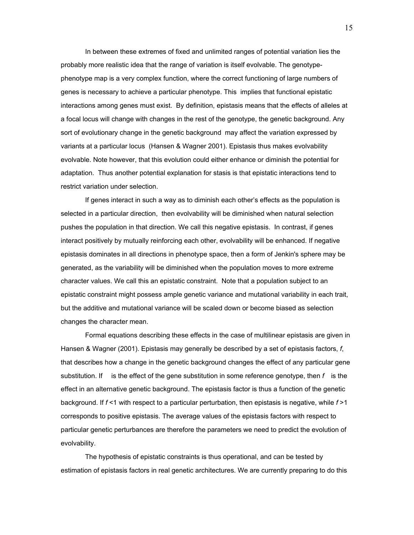In between these extremes of fixed and unlimited ranges of potential variation lies the probably more realistic idea that the range of variation is itself evolvable. The genotypephenotype map is a very complex function, where the correct functioning of large numbers of genes is necessary to achieve a particular phenotype. This implies that functional epistatic interactions among genes must exist. By definition, epistasis means that the effects of alleles at a focal locus will change with changes in the rest of the genotype, the genetic background. Any sort of evolutionary change in the genetic background may affect the variation expressed by variants at a particular locus (Hansen & Wagner 2001). Epistasis thus makes evolvability evolvable. Note however, that this evolution could either enhance or diminish the potential for adaptation. Thus another potential explanation for stasis is that epistatic interactions tend to restrict variation under selection.

If genes interact in such a way as to diminish each other's effects as the population is selected in a particular direction, then evolvability will be diminished when natural selection pushes the population in that direction. We call this negative epistasis. In contrast, if genes interact positively by mutually reinforcing each other, evolvability will be enhanced. If negative epistasis dominates in all directions in phenotype space, then a form of Jenkin's sphere may be generated, as the variability will be diminished when the population moves to more extreme character values. We call this an epistatic constraint. Note that a population subject to an epistatic constraint might possess ample genetic variance and mutational variability in each trait, but the additive and mutational variance will be scaled down or become biased as selection changes the character mean.

Formal equations describing these effects in the case of multilinear epistasis are given in Hansen & Wagner (2001). Epistasis may generally be described by a set of epistasis factors, *f*, that describes how a change in the genetic background changes the effect of any particular gene substitution. If is the effect of the gene substitution in some reference genotype, then  $f$  is the effect in an alternative genetic background. The epistasis factor is thus a function of the genetic background. If *f* <1 with respect to a particular perturbation, then epistasis is negative, while *f* >1 corresponds to positive epistasis. The average values of the epistasis factors with respect to particular genetic perturbances are therefore the parameters we need to predict the evolution of evolvability.

The hypothesis of epistatic constraints is thus operational, and can be tested by estimation of epistasis factors in real genetic architectures. We are currently preparing to do this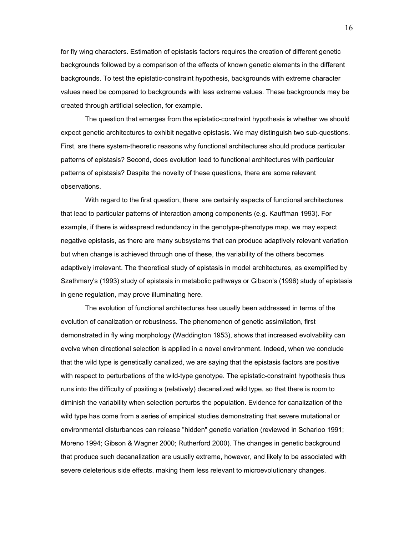for fly wing characters. Estimation of epistasis factors requires the creation of different genetic backgrounds followed by a comparison of the effects of known genetic elements in the different backgrounds. To test the epistatic-constraint hypothesis, backgrounds with extreme character values need be compared to backgrounds with less extreme values. These backgrounds may be created through artificial selection, for example.

The question that emerges from the epistatic-constraint hypothesis is whether we should expect genetic architectures to exhibit negative epistasis. We may distinguish two sub-questions. First, are there system-theoretic reasons why functional architectures should produce particular patterns of epistasis? Second, does evolution lead to functional architectures with particular patterns of epistasis? Despite the novelty of these questions, there are some relevant observations.

 With regard to the first question, there are certainly aspects of functional architectures that lead to particular patterns of interaction among components (e.g. Kauffman 1993). For example, if there is widespread redundancy in the genotype-phenotype map, we may expect negative epistasis, as there are many subsystems that can produce adaptively relevant variation but when change is achieved through one of these, the variability of the others becomes adaptively irrelevant. The theoretical study of epistasis in model architectures, as exemplified by Szathmary's (1993) study of epistasis in metabolic pathways or Gibson's (1996) study of epistasis in gene regulation, may prove illuminating here.

 The evolution of functional architectures has usually been addressed in terms of the evolution of canalization or robustness. The phenomenon of genetic assimilation, first demonstrated in fly wing morphology (Waddington 1953), shows that increased evolvability can evolve when directional selection is applied in a novel environment. Indeed, when we conclude that the wild type is genetically canalized, we are saying that the epistasis factors are positive with respect to perturbations of the wild-type genotype. The epistatic-constraint hypothesis thus runs into the difficulty of positing a (relatively) decanalized wild type, so that there is room to diminish the variability when selection perturbs the population. Evidence for canalization of the wild type has come from a series of empirical studies demonstrating that severe mutational or environmental disturbances can release "hidden" genetic variation (reviewed in Scharloo 1991; Moreno 1994; Gibson & Wagner 2000; Rutherford 2000). The changes in genetic background that produce such decanalization are usually extreme, however, and likely to be associated with severe deleterious side effects, making them less relevant to microevolutionary changes.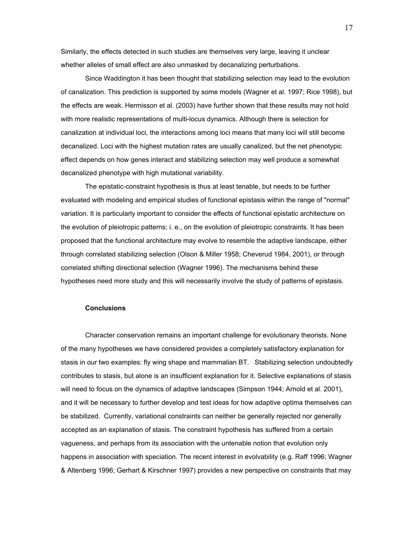Similarly, the effects detected in such studies are themselves very large, leaving it unclear whether alleles of small effect are also unmasked by decanalizing perturbations.

 Since Waddington it has been thought that stabilizing selection may lead to the evolution of canalization. This prediction is supported by some models (Wagner et al. 1997; Rice 1998), but the effects are weak. Hermisson et al. (2003) have further shown that these results may not hold with more realistic representations of multi-locus dynamics. Although there is selection for canalization at individual loci, the interactions among loci means that many loci will still become decanalized. Loci with the highest mutation rates are usually canalized, but the net phenotypic effect depends on how genes interact and stabilizing selection may well produce a somewhat decanalized phenotype with high mutational variability.

 The epistatic-constraint hypothesis is thus at least tenable, but needs to be further evaluated with modeling and empirical studies of functional epistasis within the range of "normal" variation. It is particularly important to consider the effects of functional epistatic architecture on the evolution of pleiotropic patterns; i. e., on the evolution of pleiotropic constraints. It has been proposed that the functional architecture may evolve to resemble the adaptive landscape, either through correlated stabilizing selection (Olson & Miller 1958; Cheverud 1984, 2001), or through correlated shifting directional selection (Wagner 1996). The mechanisms behind these hypotheses need more study and this will necessarily involve the study of patterns of epistasis.

#### **Conclusions**

Character conservation remains an important challenge for evolutionary theorists. None of the many hypotheses we have considered provides a completely satisfactory explanation for stasis in our two examples: fly wing shape and mammalian BT. Stabilizing selection undoubtedly contributes to stasis, but alone is an insufficient explanation for it. Selective explanations of stasis will need to focus on the dynamics of adaptive landscapes (Simpson 1944; Arnold et al. 2001), and it will be necessary to further develop and test ideas for how adaptive optima themselves can be stabilized. Currently, variational constraints can neither be generally rejected nor generally accepted as an explanation of stasis. The constraint hypothesis has suffered from a certain vagueness, and perhaps from its association with the untenable notion that evolution only happens in association with speciation. The recent interest in evolvability (e.g. Raff 1996; Wagner & Altenberg 1996; Gerhart & Kirschner 1997) provides a new perspective on constraints that may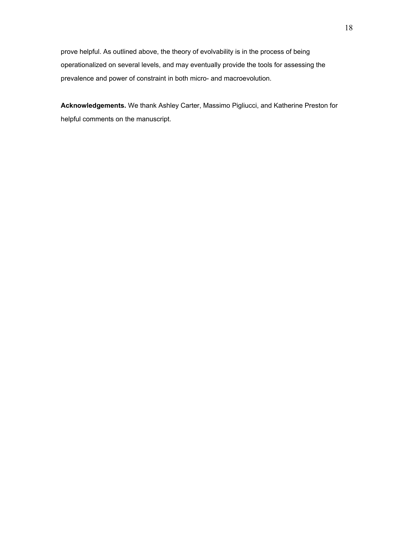prove helpful. As outlined above, the theory of evolvability is in the process of being operationalized on several levels, and may eventually provide the tools for assessing the prevalence and power of constraint in both micro- and macroevolution.

**Acknowledgements.** We thank Ashley Carter, Massimo Pigliucci, and Katherine Preston for helpful comments on the manuscript.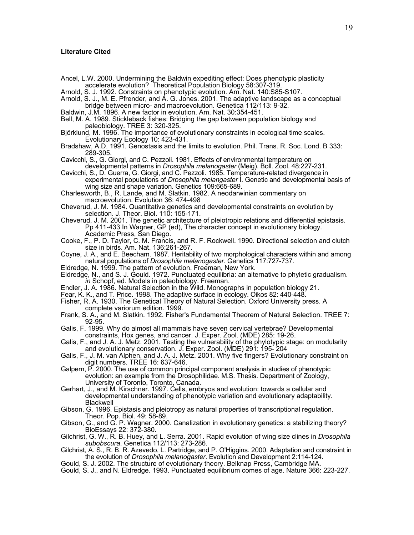#### **Literature Cited**

- Ancel, L.W. 2000. Undermining the Baldwin expediting effect: Does phenotypic plasticity accelerate evolution? Theoretical Population Biology 58:307-319.
- Arnold, S. J. 1992. Constraints on phenotypic evolution. Am. Nat. 140:S85-S107.
- Arnold, S. J., M. E. Pfrender, and A. G. Jones. 2001. The adaptive landscape as a conceptual bridge between micro- and macroevolution. Genetica 112/113: 9-32.
- Baldwin, J.M. 1896. A new factor in evolution. Am. Nat. 30:354-451.
- Bell, M. A. 1989. Stickleback fishes: Bridging the gap between population biology and paleobiology. TREE 3: 320-325.
- Björklund, M. 1996. The importance of evolutionary constraints in ecological time scales. Evolutionary Ecology 10: 423-431.
- Bradshaw, A.D. 1991. Genostasis and the limits to evolution. Phil. Trans. R. Soc. Lond. B 333: 289-305.
- Cavicchi, S., G. Giorgi, and C. Pezzoli. 1981. Effects of environmental temperature on developmental patterns in *Drosophila melanogaster* (Meig). Boll. Zool. 48:227-231.
- Cavicchi, S., D. Guerra, G. Giorgi, and C. Pezzoli. 1985. Temperature-related divergence in experimental populations of *Drosophila melangaster* I. Genetic and developmental basis of wing size and shape variation. Genetics 109:665-689.

Charlesworth, B., R. Lande, and M. Slatkin. 1982. A neodarwinian commentary on macroevolution. Evolution 36: 474-498

- Cheverud, J. M. 1984. Quantitative genetics and developmental constraints on evolution by selection. J. Theor. Biol. 110: 155-171.
- Cheverud, J. M. 2001. The genetic architecture of pleiotropic relations and differential epistasis. Pp 411-433 In Wagner, GP (ed), The character concept in evolutionary biology. Academic Press, San Diego.
- Cooke, F., P. D. Taylor, C. M. Francis, and R. F. Rockwell. 1990. Directional selection and clutch size in birds. Am. Nat. 136:261-267.
- Coyne, J. A., and E. Beecham. 1987. Heritability of two morphological characters within and among natural populations of *Drosophila melanogaster*. Genetics 117:727-737.
- Eldredge, N. 1999. The pattern of evolution. Freeman, New York.
- Eldredge, N., and S. J. Gould. 1972. Punctuated equilibria: an alternative to phyletic gradualism. *in* Schopf, ed. Models in paleobiology. Freeman.
- Endler, J. A. 1986. Natural Selection in the Wild. Monographs in population biology 21.
- Fear, K. K., and T. Price. 1998. The adaptive surface in ecology. Oikos 82: 440-448.
- Fisher, R. A. 1930. The Genetical Theory of Natural Selection. Oxford University press. A complete variorum edition. 1999.
- Frank, S. A., and M. Slatkin. 1992. Fisher's Fundamental Theorem of Natural Selection. TREE 7: 92-95.
- Galis, F. 1999. Why do almost all mammals have seven cervical vertebrae? Developmental constraints, Hox genes, and cancer. J. Exper. Zool. (MDE) 285: 19-26.
- Galis, F., and J. A. J. Metz. 2001. Testing the vulnerability of the phylotypic stage: on modularity and evolutionary conservation. J. Exper. Zool. (MDE) 291: 195- 204
- Galis, F., J. M. van Alphen, and J. A. J. Metz. 2001. Why five fingers? Evolutionary constraint on digit numbers. TREE 16: 637-646.
- Galpern, P. 2000. The use of common principal component analysis in studies of phenotypic evolution: an example from the Drosophilidae. M.S. Thesis. Department of Zoology, University of Toronto, Toronto, Canada.
- Gerhart, J., and M. Kirschner. 1997. Cells, embryos and evolution: towards a cellular and developmental understanding of phenotypic variation and evolutionary adaptability. **Blackwell**
- Gibson, G. 1996. Epistasis and pleiotropy as natural properties of transcriptional regulation. Theor. Pop. Biol. 49: 58-89.
- Gibson, G., and G. P. Wagner. 2000. Canalization in evolutionary genetics: a stabilizing theory? BioEssays 22: 372-380.
- Gilchrist, G. W., R. B. Huey, and L. Serra. 2001. Rapid evolution of wing size clines in *Drosophila subobscura*. Genetica 112/113: 273-286.
- Gilchrist, A. S., R. B. R. Azevedo, L. Partridge, and P. O'Higgins. 2000. Adaptation and constraint in the evolution of *Drosophila melanogaster*. Evolution and Development 2:114-124.
- Gould, S. J. 2002. The structure of evolutionary theory. Belknap Press, Cambridge MA.
- Gould, S. J., and N. Eldredge. 1993. Punctuated equilibrium comes of age. Nature 366: 223-227.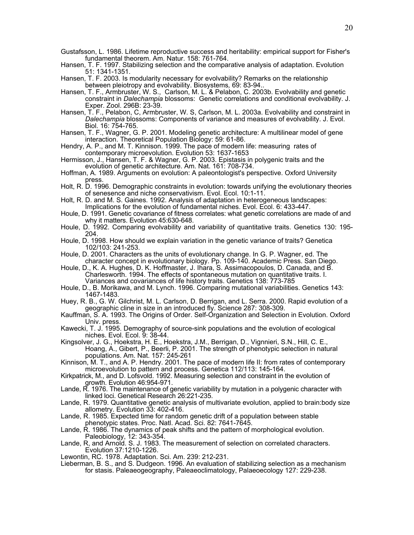- Gustafsson, L. 1986. Lifetime reproductive success and heritability: empirical support for Fisher's fundamental theorem. Am. Natur. 158: 761-764.
- Hansen, T. F. 1997. Stabilizing selection and the comparative analysis of adaptation. Evolution 51: 1341-1351.
- Hansen, T. F. 2003. Is modularity necessary for evolvability? Remarks on the relationship between pleiotropy and evolvability. Biosystems*,* 69: 83-94..
- Hansen, T. F., Armbruster, W. S., Carlson, M. L. & Pelabon, C. 2003b. Evolvability and genetic constraint in *Dalechampia* blossoms: Genetic correlations and conditional evolvability. J. Exper. Zool. 296B: 23-39.
- Hansen, T. F., Pelabon, C, Armbruster, W. S, Carlson, M. L. 2003a. Evolvability and constraint in *Dalechampia* blossoms: Components of variance and measures of evolvability. J. Evol. Biol. 16: 754-765.
- Hansen, T. F., Wagner, G. P. 2001. Modeling genetic architecture: A multilinear model of gene interaction. Theoretical Population Biology: 59: 61-86.
- Hendry, A. P., and M. T. Kinnison. 1999. The pace of modern life: measuring rates of contemporary microevolution. Evolution 53: 1637-1653
- Hermisson, J., Hansen, T. F. & Wagner, G. P. 2003. Epistasis in polygenic traits and the evolution of genetic architecture. Am. Nat. 161: 708-734.
- Hoffman, A. 1989. Arguments on evolution: A paleontologist's perspective. Oxford University press.
- Holt, R. D. 1996. Demographic constraints in evolution: towards unifying the evolutionary theories of senesence and niche conservativism. Evol. Ecol. 10:1-11.
- Holt, R. D. and M. S. Gaines. 1992. Analysis of adaptation in heterogeneous landscapes: Implications for the evolution of fundamental niches. Evol. Ecol. 6: 433-447.
- Houle, D. 1991. Genetic covariance of fitness correlates: what genetic correlations are made of and why it matters. Evolution 45:630-648.
- Houle, D. 1992. Comparing evolvability and variability of quantitative traits. Genetics 130: 195- 204.
- Houle, D. 1998. How should we explain variation in the genetic variance of traits? Genetica 102/103: 241-253.
- Houle, D. 2001. Characters as the units of evolutionary change. In G. P. Wagner, ed. The character concept in evolutionary biology. Pp. 109-140. Academic Press. San Diego.
- Houle, D., K. A. Hughes, D. K. Hoffmaster, J. Ihara, S. Assimacopoulos, D. Canada, and B. Charlesworth. 1994. The effects of spontaneous mutation on quantitative traits. I. Variances and covariances of life history traits. Genetics 138: 773-785
- Houle, D., B. Morikawa, and M. Lynch. 1996. Comparing mutational variabilities. Genetics 143: 1467-1483.
- Huey, R. B., G. W. Gilchrist, M. L. Carlson, D. Berrigan, and L. Serra. 2000. Rapid evolution of a geographic cline in size in an introduced fly. Science 287: 308-309.
- Kauffman, S. A. 1993. The Origins of Order. Self-Organization and Selection in Evolution. Oxford Univ. press.
- Kawecki, T. J. 1995. Demography of source-sink populations and the evolution of ecological niches. Evol. Ecol. 9: 38-44.
- Kingsolver, J. G., Hoekstra, H. E., Hoekstra, J.M., Berrigan, D., Vignnieri, S.N., Hill, C. E., Hoang, A., Gibert, P., Beerli, P. 2001. The strength of phenotypic selection in natural populations. Am. Nat. 157: 245-261
- Kinnison, M. T., and A. P. Hendry. 2001. The pace of modern life II: from rates of contemporary microevolution to pattern and process. Genetica 112/113: 145-164.
- Kirkpatrick, M., and D. Lofsvold. 1992. Measuring selection and constraint in the evolution of growth. Evolution 46:954-971.
- Lande, R. 1976. The maintenance of genetic variability by mutation in a polygenic character with linked loci. Genetical Research 26:221-235.
- Lande, R. 1979. Quantitative genetic analysis of multivariate evolution, applied to brain:body size allometry. Evolution 33: 402-416.
- Lande, R. 1985. Expected time for random genetic drift of a population between stable phenotypic states. Proc. Natl. Acad. Sci. 82: 7641-7645.
- Lande, R. 1986. The dynamics of peak shifts and the pattern of morphological evolution. Paleobiology, 12: 343-354.
- Lande, R, and Arnold. S. J. 1983. The measurement of selection on correlated characters. Evolution 37:1210-1226.
- Lewontin, RC. 1978. Adaptation. Sci. Am. 239: 212-231.
- Lieberman, B. S., and S. Dudgeon. 1996. An evaluation of stabilizing selection as a mechanism for stasis. Paleaeogeography, Paleaeoclimatology, Palaeoecology 127: 229-238.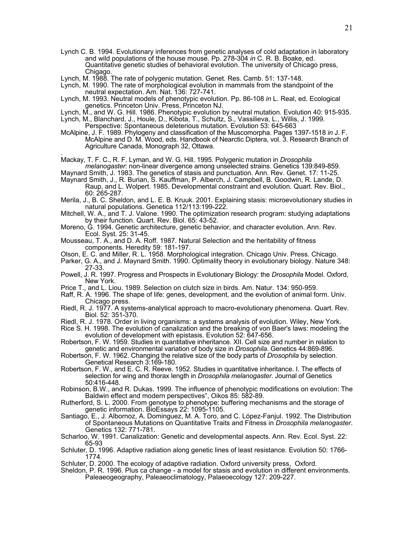- Lynch C. B. 1994. Evolutionary inferences from genetic analyses of cold adaptation in laboratory and wild populations of the house mouse. Pp. 278-304 *in* C. R. B. Boake, ed. Quantitative genetic studies of behavioral evolution. The university of Chicago press, Chigago.
- Lynch, M. 1988. The rate of polygenic mutation. Genet. Res. Camb. 51: 137-148.
- Lynch, M. 1990. The rate of morphological evolution in mammals from the standpoint of the neutral expectation. Am. Nat. 136: 727-741.
- Lynch, M. 1993. Neutral models of phenotypic evolution. Pp. 86-108 *in* L. Real, ed. Ecological genetics. Princeton Univ. Press, Princeton NJ.
- Lynch, M., and W. G. Hill. 1986. Phenotypic evolution by neutral mutation. Evolution 40: 915-935.
- Lynch, M., Blanchard, J., Houle, D., Kibota, T., Schultz, S., Vassilieva, L., Willis, J. 1999. Perspective: Spontaneous deleterious mutation. Evolution 53: 645-663
- McAlpine, J. F. 1989. Phylogeny and classification of the Muscomorpha. Pages 1397-1518 *in* J. F. McAlpine and D. M. Wood, eds. Handbook of Nearctic Diptera, vol. 3. Research Branch of Agriculture Canada, Monograph 32, Ottawa.

Mackay, T. F. C., R. F. Lyman, and W. G. Hill. 1995. Polygenic mutation in *Drosophila* 

.

- *melanogaster*: non-linear divergence among unselected strains. Genetics 139:849-859.
- Maynard Smith, J. 1983. The genetics of stasis and punctuation. Ann. Rev. Genet. 17: 11-25.
- Maynard Smith, J., R. Burian, S. Kauffman, P. Alberch, J. Campbell, B. Goodwin, R. Lande, D. Raup, and L. Wolpert. 1985. Developmental constraint and evolution. Quart. Rev. Biol., 60: 265-287.
- Merila, J., B. C. Sheldon, and L. E. B. Kruuk. 2001. Explaining stasis: microevolutionary studies in natural populations. Genetica 112/113:199-222.
- Mitchell, W. A., and T. J. Valone. 1990. The optimization research program: studying adaptations by their function. Quart. Rev. Biol. 65: 43-52.
- Moreno, G. 1994. Genetic architecture, genetic behavior, and character evolution. Ann. Rev. Ecol. Syst. 25: 31-45.
- Mousseau, T. A., and D. A. Roff. 1987. Natural Selection and the heritability of fitness components. Heredity 59: 181-197.
- Olson, E. C. and Miller, R. L. 1958. Morphological integration. Chicago Univ. Press. Chicago.
- Parker, G. A., and J. Maynard Smith. 1990. Optimality theory in evolutionary biology. Nature 348: 27-33.
- Powell, J. R. 1997. Progress and Prospects in Evolutionary Biology: the *Drosophila* Model. Oxford, New York.
- Price T., and L. Liou. 1989. Selection on clutch size in birds. Am. Natur. 134: 950-959.
- Raff, R. A. 1996. The shape of life: genes, development, and the evolution of animal form. Univ. Chicago press.
- Riedl, R. J. 1977. A systems-analytical approach to macro-evolutionary phenomena. Quart. Rev. Biol. 52: 351-370.
- Riedl, R. J. 1978. Order in living organisms: a systems analysis of evolution. Wiley, New York.
- Rice S. H. 1998. The evolution of canalization and the breaking of von Baer's laws: modeling the evolution of development with epistasis. Evolution 52: 647-656.
- Robertson, F. W. 1959. Studies in quantitative inheritance. XII. Cell size and number in relation to genetic and environmental variation of body size in *Drosophila*. Genetics 44:869-896.
- Robertson, F. W. 1962. Changing the relative size of the body parts of *Drosophila* by selection. Genetical Research 3:169-180.
- Robertson, F. W., and E. C. R. Reeve. 1952. Studies in quantitative inheritance. I. The effects of selection for wing and thorax length in *Drosophila melanogaster*. Journal of Genetics 50:416-448.
- Robinson, B.W., and R. Dukas. 1999. The influence of phenotypic modifications on evolution: The Baldwin effect and modern perspectives", Oikos 85: 582-89.
- Rutherford, S. L. 2000. From genotype to phenotype: buffering mechanisms and the storage of genetic information. BioEssays 22: 1095-1105.
- Santiago, E., J. Albornoz, A. Dominguez, M. A. Toro, and C. López-Fanjul. 1992. The Distribution of Spontaneous Mutations on Quantitative Traits and Fitness in *Drosophila melanogaster.*<br>Genetics 132: 771-781.
- Scharloo, W. 1991. Canalization: Genetic and developmental aspects. Ann. Rev. Ecol. Syst. 22: 65-93
- Schluter, D. 1996. Adaptive radiation along genetic lines of least resistance. Evolution 50: 1766- 1774.
- Schluter, D. 2000. The ecology of adaptive radiation. Oxford university press, Oxford.
- Sheldon, P. R. 1996. Plus ca change a model for stasis and evolution in different environments. Paleaeogeography, Paleaeoclimatology, Palaeoecology 127: 209-227.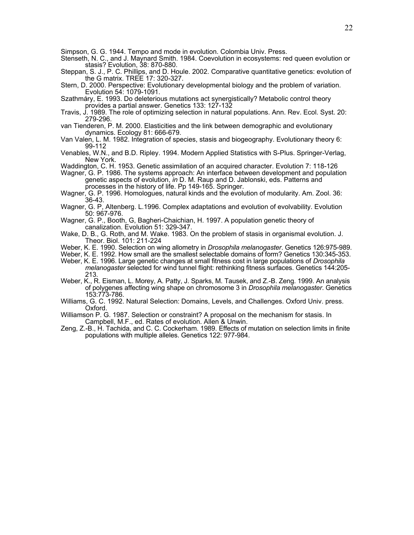Simpson, G. G. 1944. Tempo and mode in evolution. Colombia Univ. Press.

- Stenseth, N. C., and J. Maynard Smith. 1984. Coevolution in ecosystems: red queen evolution or stasis? Evolution, 38: 870-880.
- Steppan, S. J., P. C. Phillips, and D. Houle. 2002. Comparative quantitative genetics: evolution of the G matrix. TREE 17: 320-327.
- Stern, D. 2000. Perspective: Evolutionary developmental biology and the problem of variation. Evolution 54: 1079-1091.

Szathmáry, E. 1993. Do deleterious mutations act synergistically? Metabolic control theory provides a partial answer. Genetics 133: 127-132

- Travis, J. 1989. The role of optimizing selection in natural populations. Ann. Rev. Ecol. Syst. 20: 279-296.
- van Tienderen, P. M. 2000. Elasticities and the link between demographic and evolutionary dynamics. Ecology 81: 666-679.
- Van Valen, L. M. 1982. Integration of species, stasis and biogeography. Evolutionary theory 6: 99-112
- Venables, W.N., and B.D. Ripley. 1994. Modern Applied Statistics with S-Plus. Springer-Verlag, New York.
- Waddington, C. H. 1953. Genetic assimilation of an acquired character. Evolution 7: 118-126
- Wagner, G. P. 1986. The systems approach: An interface between development and population genetic aspects of evolution, *in* D. M. Raup and D. Jablonski, eds. Patterns and processes in the history of life. Pp 149-165. Springer.
- Wagner, G. P. 1996. Homologues, natural kinds and the evolution of modularity. Am. Zool. 36: 36-43.
- Wagner, G. P, Altenberg. L.1996. Complex adaptations and evolution of evolvability. Evolution 50: 967-976.
- Wagner, G. P., Booth, G, Bagheri-Chaichian, H. 1997. A population genetic theory of canalization. Evolution 51: 329-347.
- Wake, D. B., G. Roth, and M. Wake. 1983. On the problem of stasis in organismal evolution. J. Theor. Biol. 101: 211-224
- Weber, K. E. 1990. Selection on wing allometry in *Drosophila melanogaster*. Genetics 126:975-989.
- Weber, K. E. 1992. How small are the smallest selectable domains of form? Genetics 130:345-353.
- Weber, K. E. 1996. Large genetic changes at small fitness cost in large populations of *Drosophila melanogaster* selected for wind tunnel flight: rethinking fitness surfaces. Genetics 144:205- 213.
- Weber, K., R. Eisman, L. Morey, A. Patty, J. Sparks, M. Tausek, and Z.-B. Zeng. 1999. An analysis of polygenes affecting wing shape on chromosome 3 in *Drosophila melanogaster*. Genetics 153:773-786.
- Williams, G. C. 1992. Natural Selection: Domains, Levels, and Challenges. Oxford Univ. press. Oxford.
- Williamson P. G. 1987. Selection or constraint? A proposal on the mechanism for stasis. In Campbell, M.F., ed. Rates of evolution. Allen & Unwin.
- Zeng, Z.-B., H. Tachida, and C. C. Cockerham. 1989. Effects of mutation on selection limits in finite populations with multiple alleles. Genetics 122: 977-984.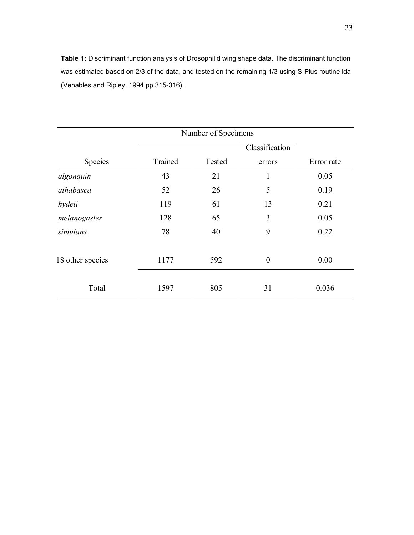**Table 1:** Discriminant function analysis of Drosophilid wing shape data. The discriminant function was estimated based on 2/3 of the data, and tested on the remaining 1/3 using S-Plus routine lda (Venables and Ripley, 1994 pp 315-316).

|                  | Number of Specimens |        |                |            |
|------------------|---------------------|--------|----------------|------------|
|                  |                     |        | Classification |            |
| <b>Species</b>   | Trained             | Tested | errors         | Error rate |
| algonquin        | 43                  | 21     | 1              | 0.05       |
| athabasca        | 52                  | 26     | 5              | 0.19       |
| hydeii           | 119                 | 61     | 13             | 0.21       |
| melanogaster     | 128                 | 65     | 3              | 0.05       |
| simulans         | 78                  | 40     | 9              | 0.22       |
| 18 other species | 1177                | 592    | $\overline{0}$ | 0.00       |
| Total            | 1597                | 805    | 31             | 0.036      |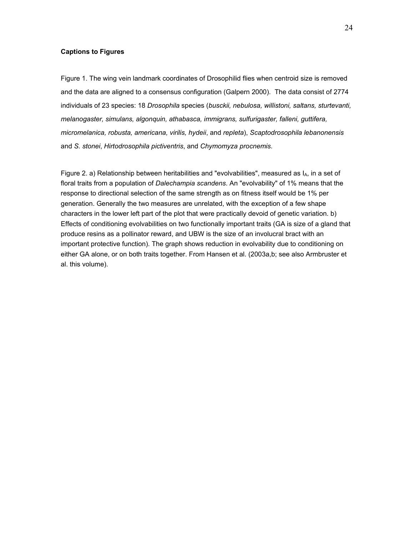## **Captions to Figures**

Figure 1. The wing vein landmark coordinates of Drosophilid flies when centroid size is removed and the data are aligned to a consensus configuration (Galpern 2000).The data consist of 2774 individuals of 23 species: 18 *Drosophila* species (*busckii, nebulosa, willistoni, saltans, sturtevanti, melanogaster, simulans, algonquin, athabasca, immigrans, sulfurigaster, falleni, guttifera, micromelanica, robusta, americana, virilis, hydeii*, and *repleta*), *Scaptodrosophila lebanonensis* and *S. stonei*, *Hirtodrosophila pictiventris*, and *Chymomyza procnemis*.

Figure 2. a) Relationship between heritabilities and "evolvabilities", measured as  $I_A$ , in a set of floral traits from a population of *Dalechampia scandens*. An "evolvability" of 1% means that the response to directional selection of the same strength as on fitness itself would be 1% per generation. Generally the two measures are unrelated, with the exception of a few shape characters in the lower left part of the plot that were practically devoid of genetic variation. b) Effects of conditioning evolvabilities on two functionally important traits (GA is size of a gland that produce resins as a pollinator reward, and UBW is the size of an involucral bract with an important protective function). The graph shows reduction in evolvability due to conditioning on either GA alone, or on both traits together. From Hansen et al. (2003a,b; see also Armbruster et al. this volume).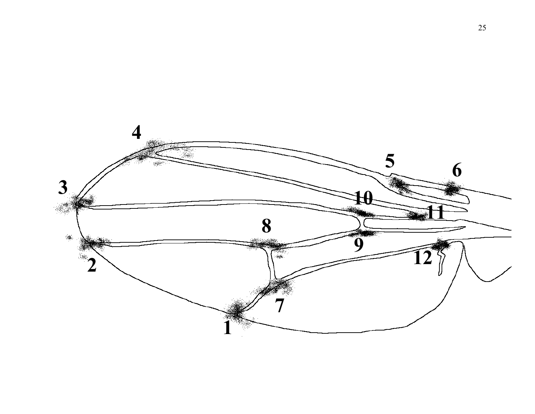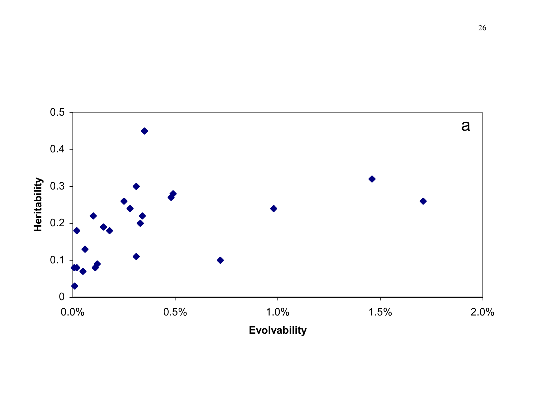